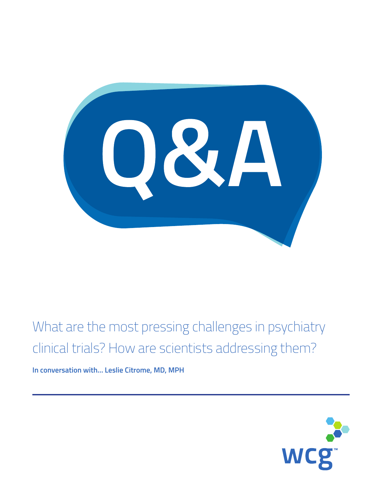OSA

What are the most pressing challenges in psychiatry clinical trials? How are scientists addressing them?

**In conversation with… Leslie Citrome, MD, MPH**

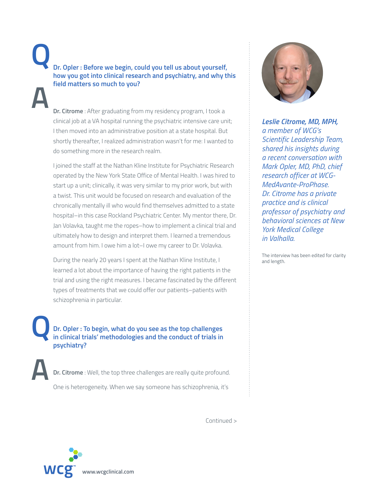**Dr. Opler : Before we begin, could you tell us about yourself, how you got into clinical research and psychiatry, and why this field matters so much to you? Q**

**A**

**A**

 **Dr. Citrome** : After graduating from my residency program, I took a clinical job at a VA hospital running the psychiatric intensive care unit; I then moved into an administrative position at a state hospital. But shortly thereafter, I realized administration wasn't for me: I wanted to do something more in the research realm.

 I joined the staff at the Nathan Kline Institute for Psychiatric Research operated by the New York State Office of Mental Health. I was hired to start up a unit; clinically, it was very similar to my prior work, but with a twist. This unit would be focused on research and evaluation of the chronically mentally ill who would find themselves admitted to a state hospital–in this case Rockland Psychiatric Center. My mentor there, Dr. Jan Volavka, taught me the ropes–how to implement a clinical trial and ultimately how to design and interpret them. I learned a tremendous amount from him. I owe him a lot–I owe my career to Dr. Volavka.

 During the nearly 20 years I spent at the Nathan Kline Institute, I learned a lot about the importance of having the right patients in the trial and using the right measures. I became fascinated by the different types of treatments that we could offer our patients–patients with schizophrenia in particular.

 **Dr. Opler : To begin, what do you see as the top challenges in clinical trials' methodologies and the conduct of trials in psychiatry? Q**

 **Dr. Citrome** : Well, the top three challenges are really quite profound. One is heterogeneity. When we say someone has schizophrenia, it's



*Leslie Citrome, MD, MPH, a member of WCG's Scientific Leadership Team, shared his insights during a recent conversation with Mark Opler, MD, PhD, chief research officer at WCG-MedAvante-ProPhase. Dr. Citrome has a private practice and is clinical professor of psychiatry and behavioral sciences at New York Medical College in Valhalla.*

The interview has been edited for clarity and length.

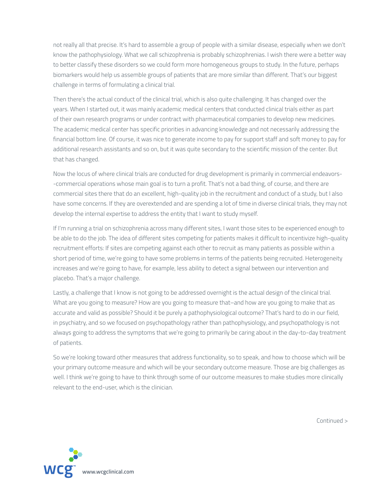not really all that precise. It's hard to assemble a group of people with a similar disease, especially when we don't know the pathophysiology. What we call schizophrenia is probably schizophrenias. I wish there were a better way to better classify these disorders so we could form more homogeneous groups to study. In the future, perhaps biomarkers would help us assemble groups of patients that are more similar than different. That's our biggest challenge in terms of formulating a clinical trial.

 Then there's the actual conduct of the clinical trial, which is also quite challenging. It has changed over the years. When I started out, it was mainly academic medical centers that conducted clinical trials either as part of their own research programs or under contract with pharmaceutical companies to develop new medicines. The academic medical center has specific priorities in advancing knowledge and not necessarily addressing the financial bottom line. Of course, it was nice to generate income to pay for support staff and soft money to pay for additional research assistants and so on, but it was quite secondary to the scientific mission of the center. But that has changed.

 Now the locus of where clinical trials are conducted for drug development is primarily in commercial endeavors- -commercial operations whose main goal is to turn a profit. That's not a bad thing, of course, and there are commercial sites there that do an excellent, high-quality job in the recruitment and conduct of a study, but I also have some concerns. If they are overextended and are spending a lot of time in diverse clinical trials, they may not develop the internal expertise to address the entity that I want to study myself.

 If I'm running a trial on schizophrenia across many different sites, I want those sites to be experienced enough to be able to do the job. The idea of different sites competing for patients makes it difficult to incentivize high-quality recruitment efforts: If sites are competing against each other to recruit as many patients as possible within a short period of time, we're going to have some problems in terms of the patients being recruited. Heterogeneity increases and we're going to have, for example, less ability to detect a signal between our intervention and placebo. That's a major challenge.

 Lastly, a challenge that I know is not going to be addressed overnight is the actual design of the clinical trial. What are you going to measure? How are you going to measure that–and how are you going to make that as accurate and valid as possible? Should it be purely a pathophysiological outcome? That's hard to do in our field, in psychiatry, and so we focused on psychopathology rather than pathophysiology, and psychopathology is not always going to address the symptoms that we're going to primarily be caring about in the day-to-day treatment of patients.

 So we're looking toward other measures that address functionality, so to speak, and how to choose which will be your primary outcome measure and which will be your secondary outcome measure. Those are big challenges as well. I think we're going to have to think through some of our outcome measures to make studies more clinically relevant to the end-user, which is the clinician.

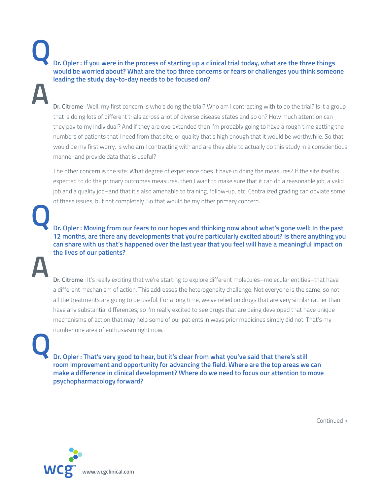**Dr. Opler : If you were in the process of starting up a clinical trial today, what are the three things would be worried about? What are the top three concerns or fears or challenges you think someone leading the study day-to-day needs to be focused on? Q A**

**Dr. Citrome** : Well, my first concern is who's doing the trial? Who am I contracting with to do the trial? Is it a group that is doing lots of different trials across a lot of diverse disease states and so on? How much attention can they pay to my individual? And if they are overextended then I'm probably going to have a rough time getting the numbers of patients that I need from that site, or quality that's high enough that it would be worthwhile. So that would be my first worry, is who am I contracting with and are they able to actually do this study in a conscientious manner and provide data that is useful?

 The other concern is the site: What degree of experience does it have in doing the measures? If the site itself is expected to do the primary outcomes measures, then I want to make sure that it can do a reasonable job, a valid job and a quality job–and that it's also amenable to training, follow-up, etc. Centralized grading can obviate some of these issues, but not completely. So that would be my other primary concern.

 **Dr. Opler : Moving from our fears to our hopes and thinking now about what's gone well: In the past 12 months, are there any developments that you're particularly excited about? Is there anything you can share with us that's happened over the last year that you feel will have a meaningful impact on the lives of our patients?**

**A**

**Q**

 **Dr. Citrome** : It's really exciting that we're starting to explore different molecules–molecular entities–that have a different mechanism of action. This addresses the heterogeneity challenge. Not everyone is the same, so not all the treatments are going to be useful. For a long time, we've relied on drugs that are very similar rather than have any substantial differences, so I'm really excited to see drugs that are being developed that have unique mechanisms of action that may help some of our patients in ways prior medicines simply did not. That's my number one area of enthusiasm right now.

**Q**

 **Dr. Opler : That's very good to hear, but it's clear from what you've said that there's still room improvement and opportunity for advancing the field. Where are the top areas we can make a difference in clinical development? Where do we need to focus our attention to move psychopharmacology forward?**

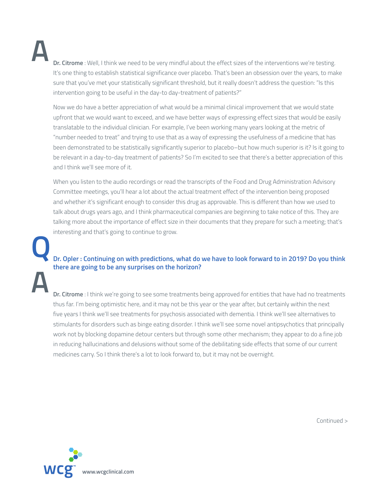**A**

**Dr. Citrome** : Well, I think we need to be very mindful about the effect sizes of the interventions we're testing. It's one thing to establish statistical significance over placebo. That's been an obsession over the years, to make sure that you've met your statistically significant threshold, but it really doesn't address the question: "Is this intervention going to be useful in the day-to day-treatment of patients?"

 Now we do have a better appreciation of what would be a minimal clinical improvement that we would state upfront that we would want to exceed, and we have better ways of expressing effect sizes that would be easily translatable to the individual clinician. For example, I've been working many years looking at the metric of "number needed to treat" and trying to use that as a way of expressing the usefulness of a medicine that has been demonstrated to be statistically significantly superior to placebo–but how much superior is it? Is it going to be relevant in a day-to-day treatment of patients? So I'm excited to see that there's a better appreciation of this and I think we'll see more of it.

 When you listen to the audio recordings or read the transcripts of the Food and Drug Administration Advisory Committee meetings, you'll hear a lot about the actual treatment effect of the intervention being proposed and whether it's significant enough to consider this drug as approvable. This is different than how we used to talk about drugs years ago, and I think pharmaceutical companies are beginning to take notice of this. They are talking more about the importance of effect size in their documents that they prepare for such a meeting; that's interesting and that's going to continue to grow.

**Q A**

## **Dr. Opler : Continuing on with predictions, what do we have to look forward to in 2019? Do you think there are going to be any surprises on the horizon?**

 **Dr. Citrome** : I think we're going to see some treatments being approved for entities that have had no treatments thus far. I'm being optimistic here, and it may not be this year or the year after, but certainly within the next five years I think we'll see treatments for psychosis associated with dementia. I think we'll see alternatives to stimulants for disorders such as binge eating disorder. I think we'll see some novel antipsychotics that principally work not by blocking dopamine detour centers but through some other mechanism; they appear to do a fine job in reducing hallucinations and delusions without some of the debilitating side effects that some of our current medicines carry. So I think there's a lot to look forward to, but it may not be overnight.